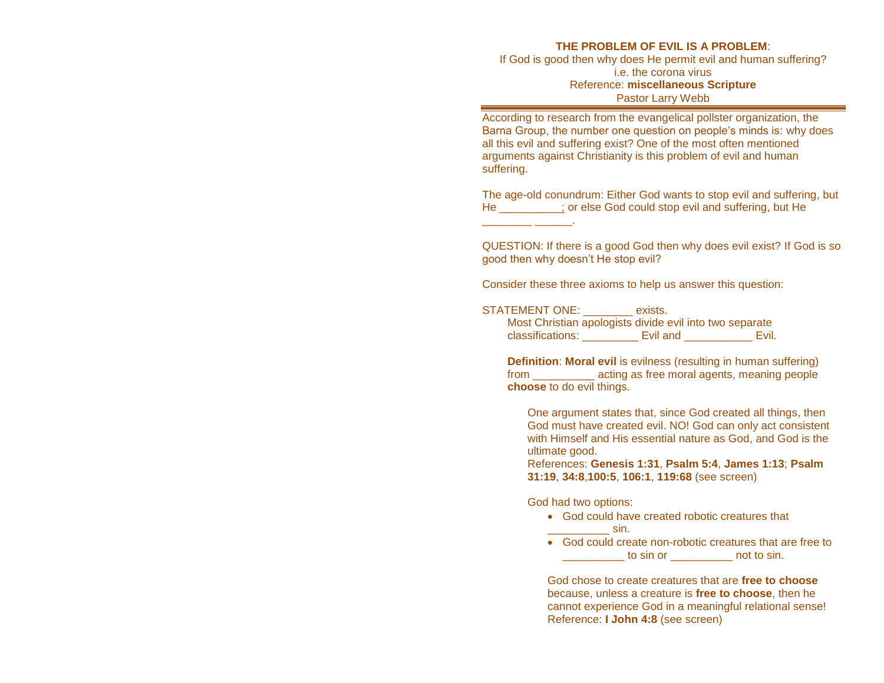## **THE PROBLEM OF EVIL IS A PROBLEM**:

If God is good then why does He permit evil and human suffering? i.e. the corona virus Reference: **miscellaneous Scripture** Pastor Larry Webb

According to research from the evangelical pollster organization, the Barna Group, the number one question on people's minds is: why does all this evil and suffering exist? One of the most often mentioned arguments against Christianity is this problem of evil and human suffering.

The age-old conundrum: Either God wants to stop evil and suffering, but He \_\_\_\_\_\_\_\_\_\_; or else God could stop evil and suffering, but He

QUESTION: If there is a good God then why does evil exist? If God is so good then why doesn't He stop evil?

Consider these three axioms to help us answer this question:

## STATEMENT ONE: exists.

\_\_\_\_\_\_\_\_ \_\_\_\_\_\_.

Most Christian apologists divide evil into two separate classifications: \_\_\_\_\_\_\_\_\_ Evil and \_\_\_\_\_\_\_\_\_\_\_ Evil.

**Definition**: **Moral evil** is evilness (resulting in human suffering) from \_\_\_\_\_\_\_\_\_\_ acting as free moral agents, meaning people **choose** to do evil things.

One argument states that, since God created all things, then God must have created evil. NO! God can only act consistent with Himself and His essential nature as God, and God is the ultimate good.

References: **Genesis 1:31**, **Psalm 5:4**, **James 1:13**; **Psalm 31:19**, **34:8**,**100:5**, **106:1**, **119:68** (see screen)

## God had two options:

- God could have created robotic creatures that \_\_\_\_\_\_\_\_\_\_ sin.
- God could create non-robotic creatures that are free to to sin or example of to sin.

God chose to create creatures that are **free to choose** because, unless a creature is **free to choose**, then he cannot experience God in a meaningful relational sense! Reference: **I John 4:8** (see screen)